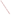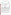## **THE ENVIRONMENTAL TECHNOLOGY VERIFICATION PROGRAM**





# **ETV Joint Verification Statement**

| TECHNOLOGY TYPE: MULTI-PARAMETER WATER QUALITY PROBE    |                                                                                                                      |  |  |  |  |  |  |
|---------------------------------------------------------|----------------------------------------------------------------------------------------------------------------------|--|--|--|--|--|--|
| <b>APPLICATION:</b>                                     | <b>MEASURING WATER QUALITY</b>                                                                                       |  |  |  |  |  |  |
| <b>TECHNOLOGY NAME: 6600 Extended Deployment System</b> |                                                                                                                      |  |  |  |  |  |  |
| <b>COMPANY:</b>                                         | <b>YSI</b> Incorporated                                                                                              |  |  |  |  |  |  |
| <b>ADDRESS:</b>                                         | 1725 Brannum Lane<br><b>PHONE:</b><br>937-767-7241<br><b>Yellow Springs, OH 45387</b><br><b>FAX:</b><br>937-767-1058 |  |  |  |  |  |  |
| <b>WEB SITE:</b><br>$E\text{-}MAIL:$                    | http://www.ysi.com<br>environmental@ysi.com                                                                          |  |  |  |  |  |  |

The U.S. Environmental Protection Agency (EPA) has created the Environmental Technology Verification (ETV) Program to facilitate the deployment of innovative or improved environmental technologies through performance verification and dissemination of information. The goal of the ETV Program is to further environmental protection by substantially accelerating the acceptance and use of improved and cost-effective technologies. ETV seeks to achieve this goal by providing high-quality, peer-reviewed data on technology performance to those involved in the design, distribution, financing, permitting, purchase, and use of environmental technologies.

ETV works in partnership with recognized standards and testing organizations; with stakeholder groups, consisting of buyers, vendor organizations, and permitters; and with the full participation of individual technology developers. The program evaluates the performance of innovative technologies by developing test plans that are responsive to the needs of stakeholders, conducting field or laboratory tests (as appropriate), collecting and analyzing data, and preparing peer-reviewed reports. All evaluations are conducted in accordance with rigorous quality assurance (QA) protocols to ensure that data of known and adequate quality are generated and that the results are defensible.

The Advanced Monitoring Systems (AMS) Center, one of seven technology areas under ETV, is operated by Battelle in cooperation with EPA's National Exposure Research Laboratory. The AMS Center has recently evaluated the performance of multi-parameter water quality probes. This verification statement provides a summary of the test results for the YSI Incorporated 6600 Extended Deployment System (EDS).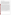#### **VERIFICATION TEST DESCRIPTION**

The 6600 EDS was evaluated by comparing pre- and post-calibration results and their measurements with standard reference measurements and handheld calibrated probes. The 6600 EDS was deployed in saltwater, freshwater, and laboratory environments near Charleston, South Carolina, during a 2 ½-month verification test. Water quality parameters were measured both by the two 6600 EDS probes and by reference measurements consisting of field-portable instrumentation and water analyses of collected samples. During each phase, performance was assessed in terms of pre- and post-calibration results, relative bias, precision, linearity, and inter-unit reproducibility. The saltwater site was at the National Oceanic and Atmospheric Adminstration (NOAA) Pier Romeo on the Cooper River, the freshwater site was at Lake Edmunds, approximately one mile from the NOAA Center for Coastal Environmental Health and Biomolecular Research (CCEHBR), and the controlled site was the CCEHBR mesocosm facility in Charleston, South Carolina. Test parameters included dissolved oxygen (DO), conductivity, temperature, pH, turbidity, and chlorophyll.

Saltwater testing was conducted at two locations. The original location was in a small tidal creek tributary of the Charleston Harbor. However, due to structural problems at that site, the probes were redeployed in the NOAA Pier Romeo on the Cooper River. Pre- and post-calibration data obtained at the first location are presented in the verification report; however, no reference data from that location are presented. The saltwater test lasted for 31 days, during which time the 6600 EDSs monitored the naturally occurring range of the target parameters, collecting data every 15 minutes, 24 hours a day, except on days when the probes were in the laboratory for preand post-calibration checks. Reference sample collection times were rotated among the morning, afternoon, and evening hours throughout the test. More intense sampling occurred at the beginning (Days 1 and 2) and the end (Days 29 and 30) of the sampling period when samples were taken at 15-minute intervals for eight hours, except on Day 29, when only four hours of sampling occurred because of weather conditions. For the duration of the test, the 6600 EDSs were deployed at depths between approximately three and 10 feet, varying according to the tide. Freshwater testing was conducted at Lake Edmunds. Because this site is shallower than the Cooper River, only one depth (approximately 3 feet) was used. As in the saltwater portion of the verification test, the 6600 EDSs monitored the naturally occurring target parameters, while simultaneous reference measurements were made, again rotating among collection times. More intense sampling occurred at the beginning (Day 3) and the end (Day 23) of the sampling period when samples were taken at 15- to 30-minute intervals for periods ranging between six and eight hours, as weather permitted. The third and final stage of testing occurred at the CCEHBR mesocosm facility. The mesocosm tanks were filled with saltwater/freshwater and drained daily, simulating a tide. Water samples were collected during each test day throughout the normal operating hours of the facility (nominally 6 a.m. to 6 p.m.). During this period, the mesocosm was manipulated to introduce variations in the measured parameters. The turbidity of the system was varied by operating a pump near the sediment trays to suspend additional solids in the water. Conductivity was varied by adding freshwater to the saltwater during one of the fill-and-drain cycles. Variations in temperature, pH, DO, and chlorophyll were driven by natural forces and the changes in the other test parameters. Over all three sampling periods, approximately 6,000 data points were collected by the 6600 EDS, and 132 sets of reference measurements were obtained

QA oversight of verification testing was provided by Battelle. Battelle QA staff conducted a technical systems audit. The ETV Test Coordinator performed the performance evaluation audit and a data quality audit of 10% of the test data.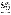### **TECHNOLOGY DESCRIPTION**

The following description of the 6600 EDS was provided by the vendor and does not represent verified information. The 6600 EDS is a multi-parameter water probe/sonde capable of measuring pH, turbidity, DO, chlorophyll, conductivity, and temperature. Building upon the YSI Rapid Pulse™ DO system, the 6600 EDS is maintained free of fouling by the Clean Sweep™ universal wiper assembly, as well as by individual optical wipers. 6600 EDS sensors are field-replaceable and integrate with data collection platforms. Flash memory prevents data loss, and battery power options allow long-term deployment. The range, resolution, and accuracy of the 6600 EDS, as provided by YSI, are listed below for the parameters tested. The outer diameter of the 6600 EDS is 8.9 cm (3.5 inches). It is 52 cm (20.4 inches) long and weighs 2.7 kilograms (six pounds).

## **VERIFICATION OF PERFORMANCE**

**Pre-and post-calibration results:** Pre-and post-calibration tests were performed for pH, DO, and conductivity since only those parameters are adjusted during calibration. The results showed that pH measurement values were accurate within a range of 99 to 102% of the true values, DO measurement values were accurate within a range of 100 to 109% of the true values (except for the very first result of 73%), and conductivity measurement values were accurate within a range of 98 to 104% of the true values.

**Relative bias:** A summary of the average relative bias for each deployment setting is provided in the table below. The relative bias for the temperature, conductivity, pH, and DO parameters was less than -28% in saltwater, freshwater, and the mesocosm. The bias for temperature was less than 0.1% and for conductivity less than 12%. The DO bias was less than 13.23% at the saltwater site and in the mesocosm, but averaged 22% at the freshwater site. Variability in DO concentration was much greater at the freshwater site, and DO measurements were consistently higher than reported by the reference unit. The higher DO bias could be at least partially because the reference unit (unlike the 6600 EDS) required a large flow dependence, making it necessary to move the sensor rapidly up and down in the water column. Inadequate agitation resulting in erroneously low DO values could explain some of the bias in the relative DO readings. The bias for pH was calculated at an average of -28%, when using units of mol/L of H<sup>+</sup> concentration. The bias for turbidity ranged between -9.54% and -126%, but many of the values were close to or below the reported detection limit of the 6600 EDS. The bias for chlorophyl ranged between 43.0% and 229%; however, many of the values were taken at points where chlorophyll readings were very low; and, in addition, there was a sharp spike of phytoplankton during the mesocosm study.

|                  |            | <b>Saltwater</b>                   |                                    | Freshwater                         |                             | Mesocosm                           |                             |
|------------------|------------|------------------------------------|------------------------------------|------------------------------------|-----------------------------|------------------------------------|-----------------------------|
| <b>Parameter</b> | Units      | % Rel. Bias<br><b>YSI Probe #1</b> | % Rel. Bias<br><b>YSI Probe #2</b> | % Rel. Bias<br><b>YSI Probe #1</b> | % Rel. Bias<br>YSI Probe #2 | % Rel. Bias<br><b>YSI Probe #1</b> | % Rel. Bias<br>YSI Probe #2 |
| Temperature      | K          | $-0.052$                           | $-0.034$                           | 0.00                               | 0.02                        | $-0.04$                            | $-0.01$                     |
| Conductivity     | mS/cm      | 11.08                              | 11.4                               | 7.70                               | 8.77                        | 3.91                               | 3.00                        |
| D <sub>O</sub>   | mg/L       | 13.23                              | $-7.35$                            | 22.6                               | 21.7                        | 6.97                               | 8.05                        |
| $H_{+}$          | mol/L      | $-2.79$                            | $-2.79$                            | 4.80                               | $-28.0$                     | $-15.9$                            | $-13.2$                     |
| Turbidity        | <b>NTU</b> | $-10.9$                            | $-9.54$                            | $-34.1$                            | $-111$                      | $-36.7$                            | $-126$                      |
| Chlorophyll      | total      | 74                                 | 43                                 | 66.5                               | 229                         | 75.5                               | 46.0                        |

**Precision:** Precision was determined during the mesocosm deployments and is reported as percent relative standard deviation (RSD). Percent RSD was lowest for the pH and temperature, ranging between 0.00%RSD and 0.08%RSD. Precision for conductivity was 1.06%RSD and 1.07%RSD for the two 6600 EDSs. For DO it was 12.5%RSD and 12.6%RSD, and for chlorophyll 41.6%RSD and 38.5%RSD. Precision data for turbidity was not determined because an inadequate amount of data were available from a period of stable operation.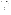**Linearity:** Linearity was assessed by comparing probe readings against the reference values for each of the parameters at each deployment location. The table below provides the results of this comparison by showing the slope, intercept, and coefficient of determination  $(r^2)$  at each site for the 6600 EDS. The linear response for the 6600 EDS, expressed in terms of slope, intercept, and coefficient of determination  $(r^2)$  at each condition, was highest for conductivity and temperature, with slopes near 1 and  $r^2$  values above 0.85. All the parameters during mesocosm deployment had strong correlations, with  $r^2$  values above 0.80.

| <b>YSI</b>     |                  | <b>Saltwater</b> |                  | Freshwater |              |                  | <b>Mesocosm</b> |              |                  |             |
|----------------|------------------|------------------|------------------|------------|--------------|------------------|-----------------|--------------|------------------|-------------|
| Probe #        | <b>Parameter</b> | <b>Slope</b>     | <b>Intercept</b> | $r^2$      | <b>Slope</b> | <b>Intercept</b> | $r^2$           | <b>Slope</b> | <b>Intercept</b> | ${\bf r}^2$ |
|                | DO.              | 0.48             | 3.15             | 0.38       | 1.16         | 0.37             | 0.96            | 1.01         | 0.40             | 0.82        |
| 2              | DO.              | 0.42             | 2.45             | 0.16       | 1.13         | 0.46             | 0.97            | 1.01         | 0.45             | 0.81        |
| 1              | Conductivity     | <b>NA</b>        | <b>NA</b>        | <b>NA</b>  | 1.30         | $-0.09$          | 0.95            | 1.05         | $-0.07$          | 0.99        |
| 2              | Conductivity     | 1.12             | $-0.14$          | 0.97       | 1.3          | $-0.0817$        | 0.85            | 1.05         | $-0.09$          | 0.99        |
| 1              | Temperature      | 1.00             | $-2.54$          | 0.94       | 0.99         | 0.698            | 0.99            | 0.95         | 13.78            | 0.99        |
| 2              | Temperature      | 0.97             | 9.00             | 0.94       | 1.03         | $-8.78$          | 0.99            | 0.95         | 15.17            | 0.99        |
| 1              | pH               | 0.87             | 0.00             | 0.58       | 0.56         | 0.00             | 0.83            | 0.78         | 0.00             | 0.91        |
| 2              | pH               | 0.87             | 0.00             | 0.58       | 0.49         | 0.00             | 0.93            | 0.76         | 0.00             | 0.92        |
|                | Turbidity        | 0.55             | 1.56             | 0.44       | 0.65         | 0.54             | 0.39            | 1.44         | $-3.14$          | 0.99        |
| $\overline{c}$ | Turbidity        | 0.31             | 2.73             | 0.01       | 0.52         | $-0.42$          | 0.78            | 0.97         | $-4.17$          | 0.98        |
| 1              | Chlorophyll      | 1.38             | 0.65             | 0.76       | 1.21         | 42               | 0.01            | 3.22         | $-4.42$          | 0.99        |
| 2              | Chlorophyll      | 1.52             | 0.15             | 0.82       | 1.21         | 42               | 0.01            | 2.91         | $-4.30$          | 0.98        |

**Inter-unit reproducibility:** Analysis of inter-unit reproducibility, presented in the table below, showed that the average difference in DO measurements between the two 6600 EDSs tested was 0.25 mg/L, while the readings for DO concentration varied from 3 to 15 mg/L. The difference in conductivity averaged 0.10 mS/cm over a range of 0.3 to 44 mS/cm. The average difference in temperature readings was 0.09°C, with actual temperature readings ranging between 24 and 35°C. The average difference in pH readings was 0.03 over a range of 6.8 to 8.7. The average difference in turbidity readings was 4.68 NTU, while actual turbidity readings ranged from 0 to 197 NTU. Finally, chlorophyll readings had an average difference of 0.92, while the actual chlorophyll readings varied from 0 to 154.

|            | Average Difference Between YSI Probe #1`and YSI Probe #1 |                         |                    |      |                           |                               |  |  |
|------------|----------------------------------------------------------|-------------------------|--------------------|------|---------------------------|-------------------------------|--|--|
| Location   | DO<br>(mg/L)                                             | Conductivity<br>(mS/cm) | <b>Temperature</b> | pH   | <b>Turbidity</b><br>(NTU) | <b>Chlorophyll</b><br>(total) |  |  |
| Saltwater  | 0.21                                                     | 0.07                    | 0.07               | 0.02 | 1.92                      | 1.01                          |  |  |
| Freshwater | 0.45                                                     | 0.01                    | 0.11               | 0.07 | 8.33                      | NA                            |  |  |
| Mesocosm   | 0.08                                                     | 0.22                    | 0.10               | 0.02 | 3.78                      | 0.84                          |  |  |
| Average    | 0.25                                                     | 0.10                    | 0.09               | 0.03 | 4.68                      | 0.92                          |  |  |

The magnitude of the inter-unit reproducibility results was affected by spatial and temporal changes in the sampling environment. For example, the 6600 EDSs were sampling in an environment that was changing 8°C over a 24-hour period. Because they were not sampling in exactly the same location, differences in temperature, caused by the 24-hour fluctuations, resulted in some differences in measurement by the 6600 EDSs. Similar behavior occurs in any location that experiences similar dynamic changes in the environment. The comparison of relative bias (as described above) is also a measure of inter-unit reproducibility.

**Other factors:** The probes were set up to collect data with minimal difficulty, and data were downloaded without incident using the provided data cable and a Windows-based PC. The 6600 EDS, as verified in this test, cost \$10,740 per unit. All portions of the verification test were completed. However, there were periods of operation where known issues (such as erroneous readings from improperly installed sensors and a puncture in a